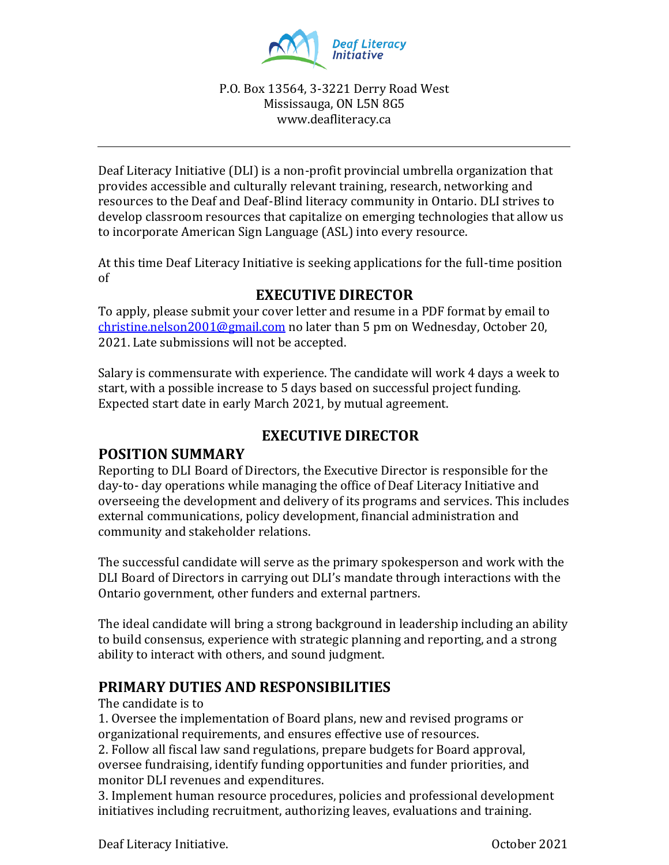

#### P.O. Box 13564, 3-3221 Derry Road West Mississauga, ON L5N 8G5 www.deafliteracy.ca

Deaf Literacy Initiative (DLI) is a non-profit provincial umbrella organization that provides accessible and culturally relevant training, research, networking and resources to the Deaf and Deaf-Blind literacy community in Ontario. DLI strives to develop classroom resources that capitalize on emerging technologies that allow us to incorporate American Sign Language (ASL) into every resource.

At this time Deaf Literacy Initiative is seeking applications for the full-time position of

## **EXECUTIVE DIRECTOR**

To apply, please submit your cover letter and resume in a PDF format by email to [christine.nelson2001@gmail.com](mailto:christine.nelson2001@gmail.com) no later than 5 pm on Wednesday, October 20, 2021. Late submissions will not be accepted.

Salary is commensurate with experience. The candidate will work 4 days a week to start, with a possible increase to 5 days based on successful project funding. Expected start date in early March 2021, by mutual agreement.

## **EXECUTIVE DIRECTOR**

## **POSITION SUMMARY**

Reporting to DLI Board of Directors, the Executive Director is responsible for the day-to- day operations while managing the office of Deaf Literacy Initiative and overseeing the development and delivery of its programs and services. This includes external communications, policy development, financial administration and community and stakeholder relations.

The successful candidate will serve as the primary spokesperson and work with the DLI Board of Directors in carrying out DLI's mandate through interactions with the Ontario government, other funders and external partners.

The ideal candidate will bring a strong background in leadership including an ability to build consensus, experience with strategic planning and reporting, and a strong ability to interact with others, and sound judgment.

## **PRIMARY DUTIES AND RESPONSIBILITIES**

The candidate is to

1. Oversee the implementation of Board plans, new and revised programs or organizational requirements, and ensures effective use of resources.

2. Follow all fiscal law sand regulations, prepare budgets for Board approval, oversee fundraising, identify funding opportunities and funder priorities, and monitor DLI revenues and expenditures.

3. Implement human resource procedures, policies and professional development initiatives including recruitment, authorizing leaves, evaluations and training.

Deaf Literacy Initiative. October 2021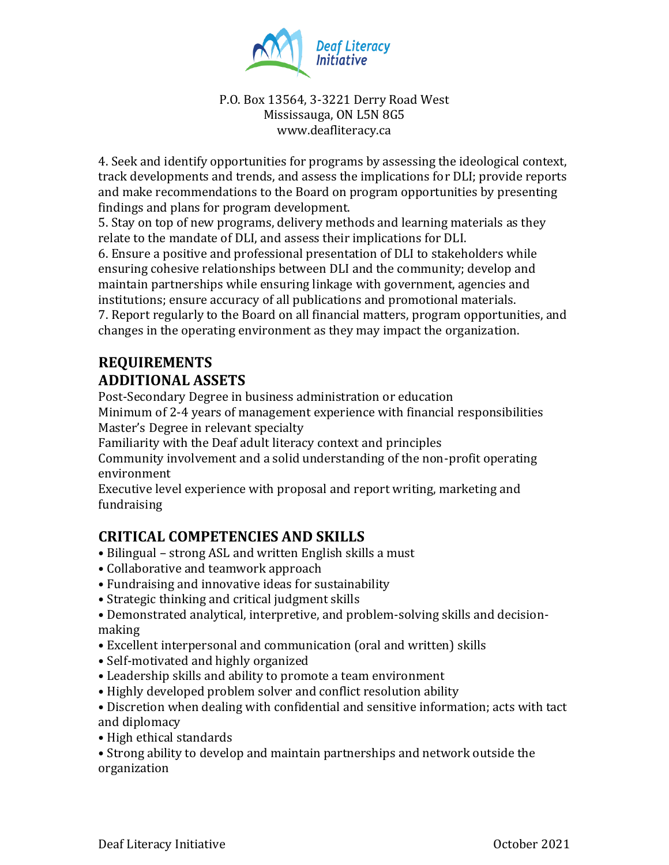

#### P.O. Box 13564, 3-3221 Derry Road West Mississauga, ON L5N 8G5 www.deafliteracy.ca

4. Seek and identify opportunities for programs by assessing the ideological context, track developments and trends, and assess the implications for DLI; provide reports and make recommendations to the Board on program opportunities by presenting findings and plans for program development.

5. Stay on top of new programs, delivery methods and learning materials as they relate to the mandate of DLI, and assess their implications for DLI.

6. Ensure a positive and professional presentation of DLI to stakeholders while ensuring cohesive relationships between DLI and the community; develop and maintain partnerships while ensuring linkage with government, agencies and institutions; ensure accuracy of all publications and promotional materials.

7. Report regularly to the Board on all financial matters, program opportunities, and changes in the operating environment as they may impact the organization.

# **REQUIREMENTS ADDITIONAL ASSETS**

Post-Secondary Degree in business administration or education Minimum of 2-4 years of management experience with financial responsibilities Master's Degree in relevant specialty

Familiarity with the Deaf adult literacy context and principles

Community involvement and a solid understanding of the non-profit operating environment

Executive level experience with proposal and report writing, marketing and fundraising

## **CRITICAL COMPETENCIES AND SKILLS**

- Bilingual strong ASL and written English skills a must
- Collaborative and teamwork approach
- Fundraising and innovative ideas for sustainability
- Strategic thinking and critical judgment skills
- Demonstrated analytical, interpretive, and problem-solving skills and decisionmaking
- Excellent interpersonal and communication (oral and written) skills
- Self-motivated and highly organized
- Leadership skills and ability to promote a team environment
- Highly developed problem solver and conflict resolution ability

• Discretion when dealing with confidential and sensitive information; acts with tact and diplomacy

• High ethical standards

• Strong ability to develop and maintain partnerships and network outside the organization